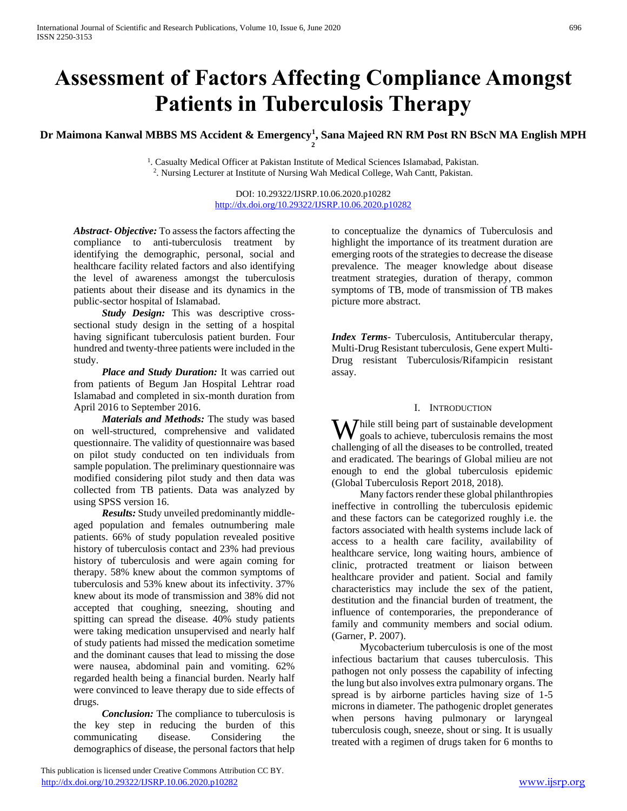# **Assessment of Factors Affecting Compliance Amongst Patients in Tuberculosis Therapy**

**Dr Maimona Kanwal MBBS MS Accident & Emergency<sup>1</sup> , Sana Majeed RN RM Post RN BScN MA English MPH 2** 

<sup>1</sup>. Casualty Medical Officer at Pakistan Institute of Medical Sciences Islamabad, Pakistan. 2 . Nursing Lecturer at Institute of Nursing Wah Medical College, Wah Cantt, Pakistan.

> DOI: 10.29322/IJSRP.10.06.2020.p10282 <http://dx.doi.org/10.29322/IJSRP.10.06.2020.p10282>

*Abstract***-** *Objective:* To assess the factors affecting the compliance to anti-tuberculosis treatment by identifying the demographic, personal, social and healthcare facility related factors and also identifying the level of awareness amongst the tuberculosis patients about their disease and its dynamics in the public-sector hospital of Islamabad.

*Study Design:* This was descriptive crosssectional study design in the setting of a hospital having significant tuberculosis patient burden. Four hundred and twenty-three patients were included in the study.

 *Place and Study Duration:* It was carried out from patients of Begum Jan Hospital Lehtrar road Islamabad and completed in six-month duration from April 2016 to September 2016.

 *Materials and Methods:* The study was based on well-structured, comprehensive and validated questionnaire. The validity of questionnaire was based on pilot study conducted on ten individuals from sample population. The preliminary questionnaire was modified considering pilot study and then data was collected from TB patients. Data was analyzed by using SPSS version 16.

 *Results:* Study unveiled predominantly middleaged population and females outnumbering male patients. 66% of study population revealed positive history of tuberculosis contact and 23% had previous history of tuberculosis and were again coming for therapy. 58% knew about the common symptoms of tuberculosis and 53% knew about its infectivity. 37% knew about its mode of transmission and 38% did not accepted that coughing, sneezing, shouting and spitting can spread the disease. 40% study patients were taking medication unsupervised and nearly half of study patients had missed the medication sometime and the dominant causes that lead to missing the dose were nausea, abdominal pain and vomiting. 62% regarded health being a financial burden. Nearly half were convinced to leave therapy due to side effects of drugs.

 *Conclusion:* The compliance to tuberculosis is the key step in reducing the burden of this communicating disease. Considering the demographics of disease, the personal factors that help

 This publication is licensed under Creative Commons Attribution CC BY. <http://dx.doi.org/10.29322/IJSRP.10.06.2020.p10282> [www.ijsrp.org](http://ijsrp.org/)

to conceptualize the dynamics of Tuberculosis and highlight the importance of its treatment duration are emerging roots of the strategies to decrease the disease prevalence. The meager knowledge about disease treatment strategies, duration of therapy, common symptoms of TB, mode of transmission of TB makes picture more abstract.

*Index Terms*- Tuberculosis, Antitubercular therapy, Multi-Drug Resistant tuberculosis, Gene expert Multi-Drug resistant Tuberculosis/Rifampicin resistant assay.

## I. INTRODUCTION

While still being part of sustainable development<br>goals to achieve, tuberculosis remains the most goals to achieve, tuberculosis remains the most challenging of all the diseases to be controlled, treated and eradicated. The bearings of Global milieu are not enough to end the global tuberculosis epidemic (Global Tuberculosis Report 2018, 2018).

 Many factors render these global philanthropies ineffective in controlling the tuberculosis epidemic and these factors can be categorized roughly i.e. the factors associated with health systems include lack of access to a health care facility, availability of healthcare service, long waiting hours, ambience of clinic, protracted treatment or liaison between healthcare provider and patient. Social and family characteristics may include the sex of the patient, destitution and the financial burden of treatment, the influence of contemporaries, the preponderance of family and community members and social odium. (Garner, P. 2007).

 Mycobacterium tuberculosis is one of the most infectious bactarium that causes tuberculosis. This pathogen not only possess the capability of infecting the lung but also involves extra pulmonary organs. The spread is by airborne particles having size of 1-5 microns in diameter. The pathogenic droplet generates when persons having pulmonary or laryngeal tuberculosis cough, sneeze, shout or sing. It is usually treated with a regimen of drugs taken for 6 months to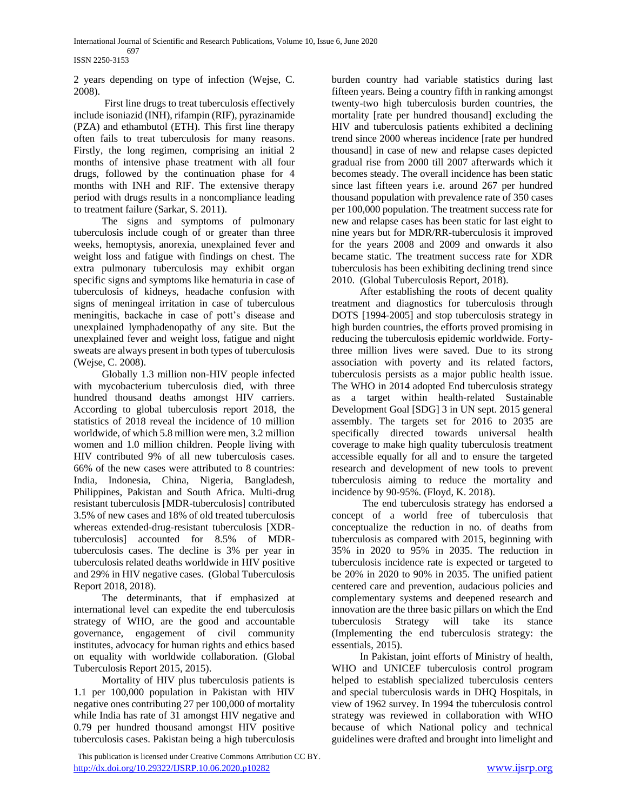#### 697 ISSN 2250-3153

2 years depending on type of infection (Wejse, C. 2008).

 First line drugs to treat tuberculosis effectively include isoniazid (INH), rifampin (RIF), pyrazinamide (PZA) and ethambutol (ETH). This first line therapy often fails to treat tuberculosis for many reasons. Firstly, the long regimen, comprising an initial 2 months of intensive phase treatment with all four drugs, followed by the continuation phase for 4 months with INH and RIF. The extensive therapy period with drugs results in a noncompliance leading to treatment failure (Sarkar, S. 2011).

 The signs and symptoms of pulmonary tuberculosis include cough of or greater than three weeks, hemoptysis, anorexia, unexplained fever and weight loss and fatigue with findings on chest. The extra pulmonary tuberculosis may exhibit organ specific signs and symptoms like hematuria in case of tuberculosis of kidneys, headache confusion with signs of meningeal irritation in case of tuberculous meningitis, backache in case of pott's disease and unexplained lymphadenopathy of any site. But the unexplained fever and weight loss, fatigue and night sweats are always present in both types of tuberculosis (Wejse, C. 2008).

 Globally 1.3 million non-HIV people infected with mycobacterium tuberculosis died, with three hundred thousand deaths amongst HIV carriers. According to global tuberculosis report 2018, the statistics of 2018 reveal the incidence of 10 million worldwide, of which 5.8 million were men, 3.2 million women and 1.0 million children. People living with HIV contributed 9% of all new tuberculosis cases. 66% of the new cases were attributed to 8 countries: India, Indonesia, China, Nigeria, Bangladesh, Philippines, Pakistan and South Africa. Multi-drug resistant tuberculosis [MDR-tuberculosis] contributed 3.5% of new cases and 18% of old treated tuberculosis whereas extended-drug-resistant tuberculosis [XDRtuberculosis] accounted for 8.5% of MDRtuberculosis cases. The decline is 3% per year in tuberculosis related deaths worldwide in HIV positive and 29% in HIV negative cases. (Global Tuberculosis Report 2018, 2018).

 The determinants, that if emphasized at international level can expedite the end tuberculosis strategy of WHO, are the good and accountable governance, engagement of civil community institutes, advocacy for human rights and ethics based on equality with worldwide collaboration. (Global Tuberculosis Report 2015, 2015).

 Mortality of HIV plus tuberculosis patients is 1.1 per 100,000 population in Pakistan with HIV negative ones contributing 27 per 100,000 of mortality while India has rate of 31 amongst HIV negative and 0.79 per hundred thousand amongst HIV positive tuberculosis cases. Pakistan being a high tuberculosis burden country had variable statistics during last fifteen years. Being a country fifth in ranking amongst twenty-two high tuberculosis burden countries, the mortality [rate per hundred thousand] excluding the HIV and tuberculosis patients exhibited a declining trend since 2000 whereas incidence [rate per hundred thousand] in case of new and relapse cases depicted gradual rise from 2000 till 2007 afterwards which it becomes steady. The overall incidence has been static since last fifteen years i.e. around 267 per hundred thousand population with prevalence rate of 350 cases per 100,000 population. The treatment success rate for new and relapse cases has been static for last eight to nine years but for MDR/RR-tuberculosis it improved for the years 2008 and 2009 and onwards it also became static. The treatment success rate for XDR tuberculosis has been exhibiting declining trend since 2010. (Global Tuberculosis Report, 2018).

 After establishing the roots of decent quality treatment and diagnostics for tuberculosis through DOTS [1994-2005] and stop tuberculosis strategy in high burden countries, the efforts proved promising in reducing the tuberculosis epidemic worldwide. Fortythree million lives were saved. Due to its strong association with poverty and its related factors, tuberculosis persists as a major public health issue. The WHO in 2014 adopted End tuberculosis strategy as a target within health-related Sustainable Development Goal [SDG] 3 in UN sept. 2015 general assembly. The targets set for 2016 to 2035 are specifically directed towards universal health coverage to make high quality tuberculosis treatment accessible equally for all and to ensure the targeted research and development of new tools to prevent tuberculosis aiming to reduce the mortality and incidence by 90-95%. (Floyd, K. 2018).

 The end tuberculosis strategy has endorsed a concept of a world free of tuberculosis that conceptualize the reduction in no. of deaths from tuberculosis as compared with 2015, beginning with 35% in 2020 to 95% in 2035. The reduction in tuberculosis incidence rate is expected or targeted to be 20% in 2020 to 90% in 2035. The unified patient centered care and prevention, audacious policies and complementary systems and deepened research and innovation are the three basic pillars on which the End tuberculosis Strategy will take its stance (Implementing the end tuberculosis strategy: the essentials, 2015).

 In Pakistan, joint efforts of Ministry of health, WHO and UNICEF tuberculosis control program helped to establish specialized tuberculosis centers and special tuberculosis wards in DHQ Hospitals, in view of 1962 survey. In 1994 the tuberculosis control strategy was reviewed in collaboration with WHO because of which National policy and technical guidelines were drafted and brought into limelight and

This publication is licensed under Creative Commons Attribution CC BY. <http://dx.doi.org/10.29322/IJSRP.10.06.2020.p10282> [www.ijsrp.org](http://ijsrp.org/)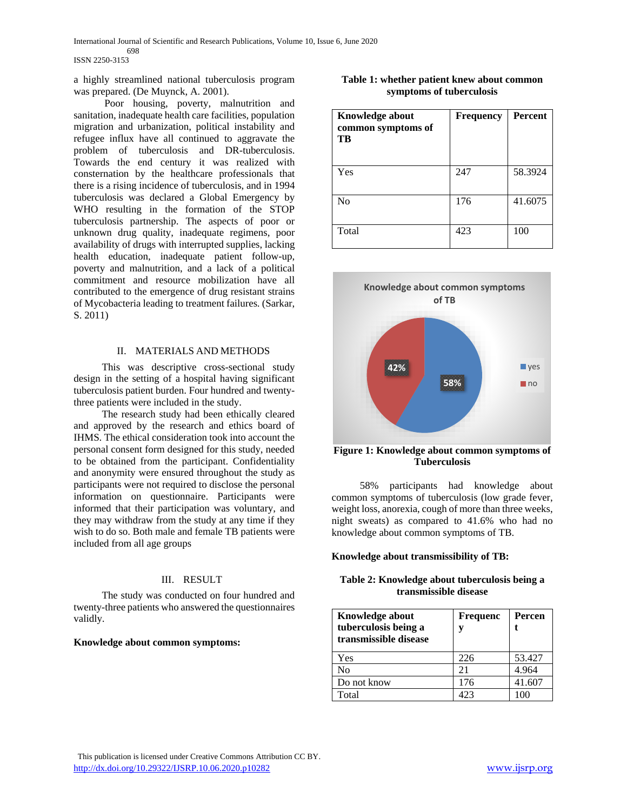#### 698 ISSN 2250-3153

a highly streamlined national tuberculosis program was prepared. (De Muynck, A. 2001).

 Poor housing, poverty, malnutrition and sanitation, inadequate health care facilities, population migration and urbanization, political instability and refugee influx have all continued to aggravate the problem of tuberculosis and DR-tuberculosis. Towards the end century it was realized with consternation by the healthcare professionals that there is a rising incidence of tuberculosis, and in 1994 tuberculosis was declared a Global Emergency by WHO resulting in the formation of the STOP tuberculosis partnership. The aspects of poor or unknown drug quality, inadequate regimens, poor availability of drugs with interrupted supplies, lacking health education, inadequate patient follow-up, poverty and malnutrition, and a lack of a political commitment and resource mobilization have all contributed to the emergence of drug resistant strains of Mycobacteria leading to treatment failures. (Sarkar, S. 2011)

#### II. MATERIALS AND METHODS

 This was descriptive cross-sectional study design in the setting of a hospital having significant tuberculosis patient burden. Four hundred and twentythree patients were included in the study.

 The research study had been ethically cleared and approved by the research and ethics board of IHMS. The ethical consideration took into account the personal consent form designed for this study, needed to be obtained from the participant. Confidentiality and anonymity were ensured throughout the study as participants were not required to disclose the personal information on questionnaire. Participants were informed that their participation was voluntary, and they may withdraw from the study at any time if they wish to do so. Both male and female TB patients were included from all age groups

## III. RESULT

 The study was conducted on four hundred and twenty-three patients who answered the questionnaires validly.

#### **Knowledge about common symptoms:**

|  |                          |  | Table 1: whether patient knew about common |
|--|--------------------------|--|--------------------------------------------|
|  | symptoms of tuberculosis |  |                                            |

| <b>Knowledge about</b><br>common symptoms of<br>TB | <b>Frequency</b> | <b>Percent</b> |
|----------------------------------------------------|------------------|----------------|
| Yes                                                | 247              | 58.3924        |
| No                                                 | 176              | 41.6075        |
| Total                                              | 423              | 100            |



**Figure 1: Knowledge about common symptoms of Tuberculosis**

 58% participants had knowledge about common symptoms of tuberculosis (low grade fever, weight loss, anorexia, cough of more than three weeks, night sweats) as compared to 41.6% who had no knowledge about common symptoms of TB.

#### **Knowledge about transmissibility of TB:**

## **Table 2: Knowledge about tuberculosis being a transmissible disease**

| Knowledge about<br>tuberculosis being a<br>transmissible disease | Frequenc     | Percen |
|------------------------------------------------------------------|--------------|--------|
| Yes                                                              | 226          | 53.427 |
| No                                                               | 21           | 4.964  |
| Do not know                                                      | 176          | 41.607 |
| Total                                                            | $\Lambda$ 23 |        |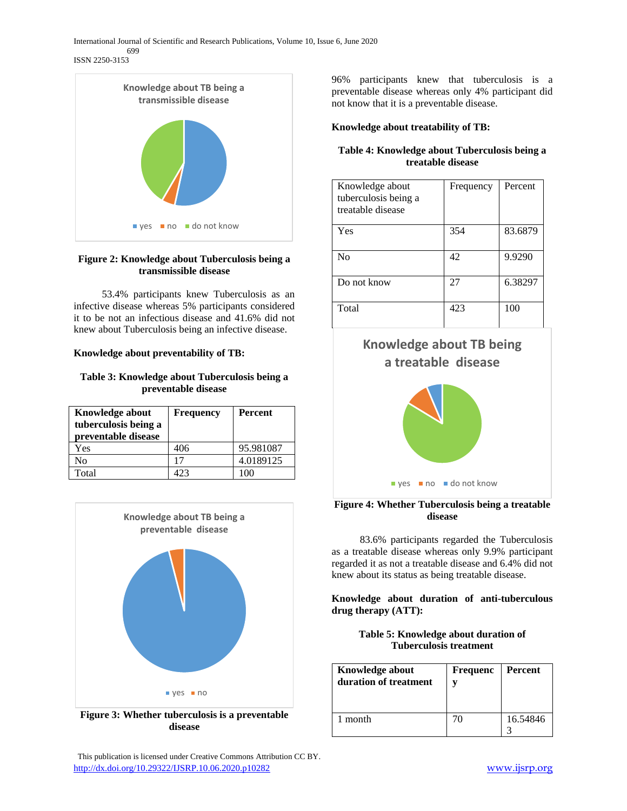



## **Figure 2: Knowledge about Tuberculosis being a transmissible disease**

 53.4% participants knew Tuberculosis as an infective disease whereas 5% participants considered it to be not an infectious disease and 41.6% did not knew about Tuberculosis being an infective disease.

## **Knowledge about preventability of TB:**

## **Table 3: Knowledge about Tuberculosis being a preventable disease**

| <b>Knowledge about</b><br>tuberculosis being a<br>preventable disease | <b>Frequency</b> | Percent   |
|-----------------------------------------------------------------------|------------------|-----------|
| Yes                                                                   | 406              | 95.981087 |
| No                                                                    | 17               | 4.0189125 |
| Total                                                                 |                  |           |



**Figure 3: Whether tuberculosis is a preventable disease**

 This publication is licensed under Creative Commons Attribution CC BY. <http://dx.doi.org/10.29322/IJSRP.10.06.2020.p10282> [www.ijsrp.org](http://ijsrp.org/)

96% participants knew that tuberculosis is a preventable disease whereas only 4% participant did not know that it is a preventable disease.

## **Knowledge about treatability of TB:**

## **Table 4: Knowledge about Tuberculosis being a treatable disease**

| Knowledge about<br>tuberculosis being a<br>treatable disease | Frequency | Percent |
|--------------------------------------------------------------|-----------|---------|
| Yes                                                          | 354       | 83.6879 |
| N <sub>0</sub>                                               | 42        | 9.9290  |
| Do not know                                                  | 27        | 6.38297 |
| Total                                                        | 423       | 100     |



## **Figure 4: Whether Tuberculosis being a treatable disease**

 83.6% participants regarded the Tuberculosis as a treatable disease whereas only 9.9% participant regarded it as not a treatable disease and 6.4% did not knew about its status as being treatable disease.

**Knowledge about duration of anti-tuberculous drug therapy (ATT):**

| Table 5: Knowledge about duration of |
|--------------------------------------|
| <b>Tuberculosis treatment</b>        |

| <b>Knowledge about</b><br>duration of treatment | <b>Frequenc</b> | Percent  |
|-------------------------------------------------|-----------------|----------|
| 1 month                                         | 70              | 16.54846 |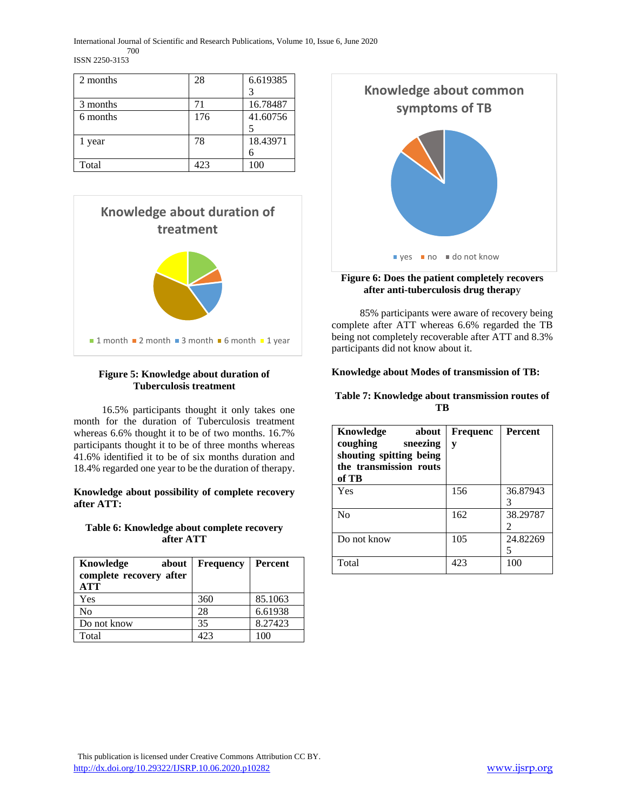| 2 months | 28  | 6.619385 |
|----------|-----|----------|
|          |     |          |
| 3 months | 71  | 16.78487 |
| 6 months | 176 | 41.60756 |
|          |     |          |
| 1 year   | 78  | 18.43971 |
|          |     | 6        |
| Total    | 423 | 100      |



## **Figure 5: Knowledge about duration of Tuberculosis treatment**

 16.5% participants thought it only takes one month for the duration of Tuberculosis treatment whereas 6.6% thought it to be of two months. 16.7% participants thought it to be of three months whereas 41.6% identified it to be of six months duration and 18.4% regarded one year to be the duration of therapy.

**Knowledge about possibility of complete recovery after ATT:**

## **Table 6: Knowledge about complete recovery after ATT**

| Knowledge<br>about<br>complete recovery after<br>ATT | <b>Frequency</b> | <b>Percent</b> |
|------------------------------------------------------|------------------|----------------|
| Yes                                                  | 360              | 85.1063        |
| No                                                   | 28               | 6.61938        |
| Do not know                                          | 35               | 8.27423        |
| Total                                                | 423              | 100            |



## **Figure 6: Does the patient completely recovers after anti-tuberculosis drug therap**y

 85% participants were aware of recovery being complete after ATT whereas 6.6% regarded the TB being not completely recoverable after ATT and 8.3% participants did not know about it.

## **Knowledge about Modes of transmission of TB:**

## **Table 7: Knowledge about transmission routes of TB**

| Knowledge<br>about<br>coughing<br>sneezing<br>shouting spitting being<br>the transmission routs<br>of TB | <b>Frequenc</b><br>y | <b>Percent</b> |
|----------------------------------------------------------------------------------------------------------|----------------------|----------------|
| Yes                                                                                                      | 156                  | 36.87943       |
| N <sub>0</sub>                                                                                           | 162                  | 38.29787<br>2  |
| Do not know                                                                                              | 105                  | 24.82269       |
| Total                                                                                                    | 423                  | 100            |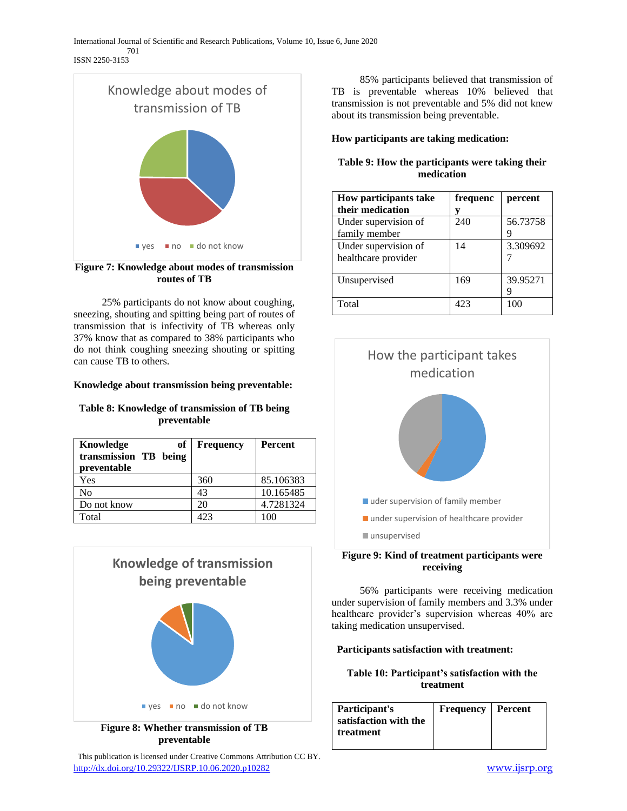

## **Figure 7: Knowledge about modes of transmission routes of TB**

 25% participants do not know about coughing, sneezing, shouting and spitting being part of routes of transmission that is infectivity of TB whereas only 37% know that as compared to 38% participants who do not think coughing sneezing shouting or spitting can cause TB to others.

## **Knowledge about transmission being preventable:**

## **Table 8: Knowledge of transmission of TB being preventable**

| оf<br>Knowledge<br>transmission TB being<br>preventable | <b>Frequency</b> | <b>Percent</b> |
|---------------------------------------------------------|------------------|----------------|
| Yes                                                     | 360              | 85.106383      |
| No                                                      | 43               | 10.165485      |
| Do not know                                             | 20               | 4.7281324      |
| Total                                                   | 423              | 100            |



## **Figure 8: Whether transmission of TB preventable**

 This publication is licensed under Creative Commons Attribution CC BY. <http://dx.doi.org/10.29322/IJSRP.10.06.2020.p10282> [www.ijsrp.org](http://ijsrp.org/)

 85% participants believed that transmission of TB is preventable whereas 10% believed that transmission is not preventable and 5% did not knew about its transmission being preventable.

## **How participants are taking medication:**

## **Table 9: How the participants were taking their medication**

| <b>How participants take</b> | frequenc | percent  |
|------------------------------|----------|----------|
| their medication             |          |          |
| Under supervision of         | 240      | 56.73758 |
| family member                |          |          |
| Under supervision of         | 14       | 3.309692 |
| healthcare provider          |          |          |
|                              |          |          |
| Unsupervised                 | 169      | 39.95271 |
|                              |          |          |
| Total                        | 423      | 100      |



## **Figure 9: Kind of treatment participants were receiving**

 56% participants were receiving medication under supervision of family members and 3.3% under healthcare provider's supervision whereas 40% are taking medication unsupervised.

## **Participants satisfaction with treatment:**

## **Table 10: Participant's satisfaction with the treatment**

| Participant's         | <b>Frequency</b>   Percent |  |
|-----------------------|----------------------------|--|
| satisfaction with the |                            |  |
| treatment             |                            |  |
|                       |                            |  |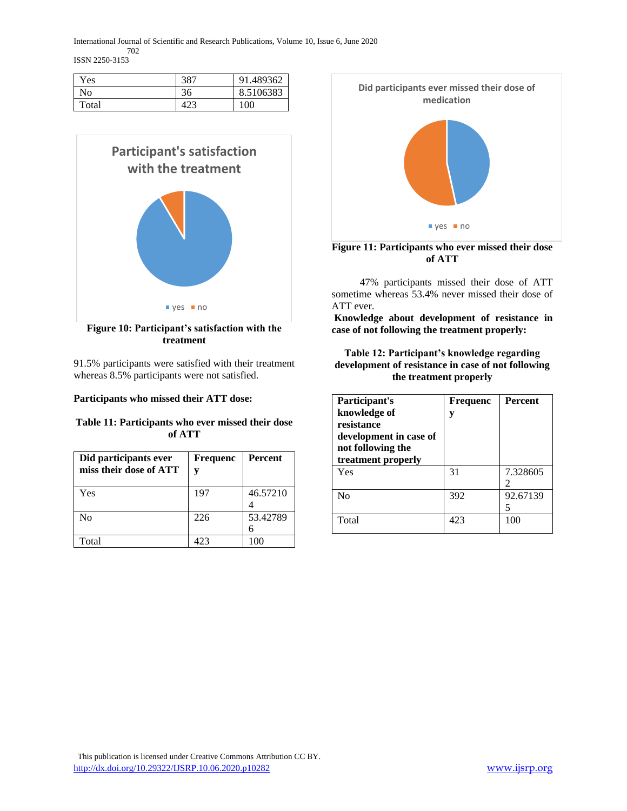702 ISSN 2250-3153

| Yes   | 207 | 91.489362 |
|-------|-----|-----------|
| No    | 36  | 8.5106383 |
| Total |     | 100       |



**Figure 10: Participant's satisfaction with the treatment**

91.5% participants were satisfied with their treatment whereas 8.5% participants were not satisfied.

## **Participants who missed their ATT dose:**

## **Table 11: Participants who ever missed their dose of ATT**

| Did participants ever<br>miss their dose of ATT | <b>Frequenc</b> | <b>Percent</b> |
|-------------------------------------------------|-----------------|----------------|
| Yes                                             | 197             | 46.57210       |
| Nο                                              | 226             | 53.42789       |
| Total                                           | 423             | 100            |



**Figure 11: Participants who ever missed their dose of ATT**

 47% participants missed their dose of ATT sometime whereas 53.4% never missed their dose of ATT ever.

**Knowledge about development of resistance in case of not following the treatment properly:**

## **Table 12: Participant's knowledge regarding development of resistance in case of not following the treatment properly**

| Participant's<br>knowledge of<br>resistance<br>development in case of<br>not following the<br>treatment properly | <b>Frequenc</b><br>v | <b>Percent</b> |
|------------------------------------------------------------------------------------------------------------------|----------------------|----------------|
| Yes                                                                                                              | 31                   | 7.328605       |
| N <sub>0</sub>                                                                                                   | 392                  | 92.67139       |
| Total                                                                                                            | 423                  | 100            |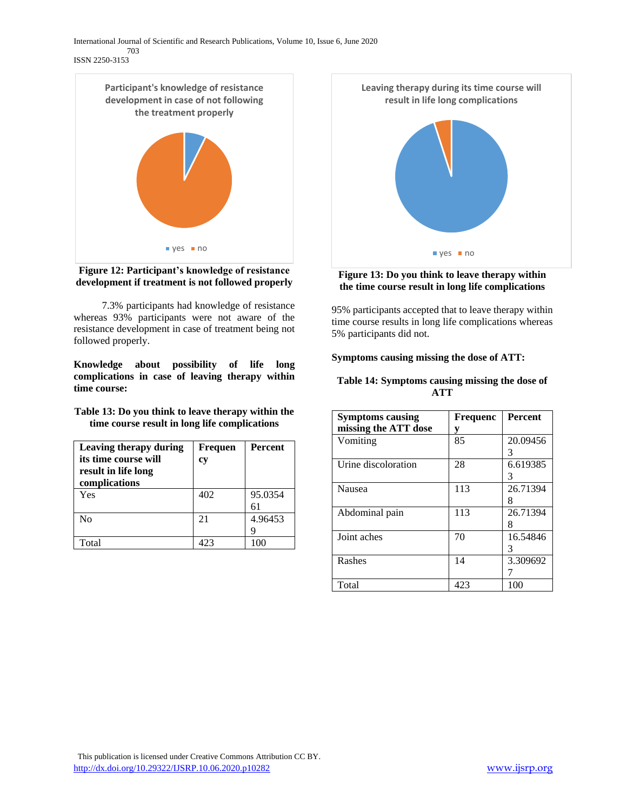

**Figure 12: Participant's knowledge of resistance development if treatment is not followed properly**

 7.3% participants had knowledge of resistance whereas 93% participants were not aware of the resistance development in case of treatment being not followed properly.

**Knowledge about possibility of life long complications in case of leaving therapy within time course:**

**Table 13: Do you think to leave therapy within the time course result in long life complications**

| Leaving therapy during | <b>Frequen</b> | <b>Percent</b> |
|------------------------|----------------|----------------|
| its time course will   | cy             |                |
| result in life long    |                |                |
| complications          |                |                |
| Yes                    | 402            | 95.0354        |
|                        |                |                |
| No                     | 21             | 4.96453        |
|                        |                |                |
| Total                  | 423            | 100            |



## **Figure 13: Do you think to leave therapy within the time course result in long life complications**

95% participants accepted that to leave therapy within time course results in long life complications whereas 5% participants did not.

## **Symptoms causing missing the dose of ATT:**

## **Table 14: Symptoms causing missing the dose of ATT**

| <b>Symptoms causing</b> | <b>Frequenc</b> | <b>Percent</b> |
|-------------------------|-----------------|----------------|
| missing the ATT dose    | y               |                |
| Vomiting                | 85              | 20.09456       |
|                         |                 | 3              |
| Urine discoloration     | 28              | 6.619385       |
|                         |                 | 3              |
| Nausea                  | 113             | 26.71394       |
|                         |                 |                |
| Abdominal pain          | 113             | 26.71394       |
|                         |                 |                |
| Joint aches             | 70              | 16.54846       |
|                         |                 | 3              |
| Rashes                  | 14              | 3.309692       |
|                         |                 |                |
| Total                   | 423             | 100            |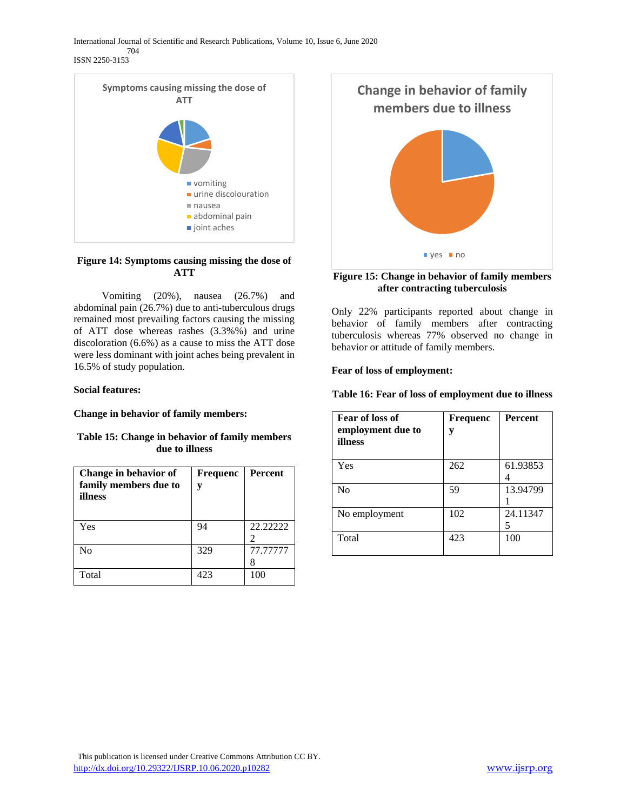ISSN 2250-3153



## **Figure 14: Symptoms causing missing the dose of ATT**

 Vomiting (20%), nausea (26.7%) and abdominal pain (26.7%) due to anti-tuberculous drugs remained most prevailing factors causing the missing of ATT dose whereas rashes (3.3%%) and urine discoloration (6.6%) as a cause to miss the ATT dose were less dominant with joint aches being prevalent in 16.5% of study population.

## **Social features:**

**Change in behavior of family members:**

## **Table 15: Change in behavior of family members due to illness**

| Change in behavior of<br>family members due to<br>illness | <b>Frequenc</b><br>V | Percent  |
|-----------------------------------------------------------|----------------------|----------|
| Yes                                                       | 94                   | 22.22222 |
| N <sub>0</sub>                                            | 329                  | 77.77777 |
| Total                                                     | 423                  | 100      |



## **Figure 15: Change in behavior of family members after contracting tuberculosis**

Only 22% participants reported about change in behavior of family members after contracting tuberculosis whereas 77% observed no change in behavior or attitude of family members.

## **Fear of loss of employment:**

**Table 16: Fear of loss of employment due to illness**

| Fear of loss of<br>employment due to<br>illness | <b>Frequenc</b><br>y | <b>Percent</b> |
|-------------------------------------------------|----------------------|----------------|
| Yes                                             | 262                  | 61.93853       |
| N <sub>0</sub>                                  | 59                   | 13.94799       |
| No employment                                   | 102                  | 24.11347       |
| Total                                           | 423                  | 100            |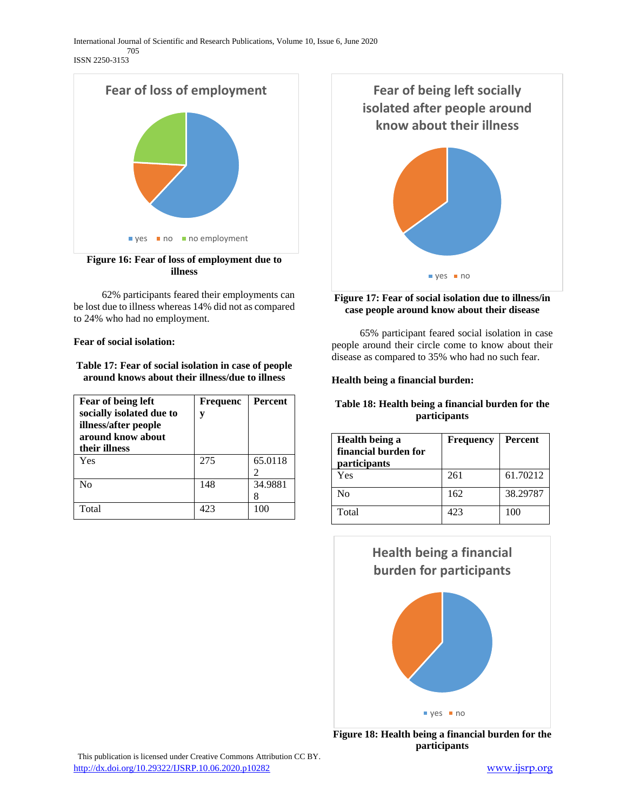ISSN 2250-3153



**Figure 16: Fear of loss of employment due to illness**

 62% participants feared their employments can be lost due to illness whereas 14% did not as compared to 24% who had no employment.

**Fear of social isolation:**

**Table 17: Fear of social isolation in case of people around knows about their illness/due to illness**

| <b>Fear of being left</b><br>socially isolated due to<br>illness/after people<br>around know about<br>their illness | <b>Frequenc</b><br>V | Percent |
|---------------------------------------------------------------------------------------------------------------------|----------------------|---------|
| Yes                                                                                                                 | 275                  | 65.0118 |
| No                                                                                                                  | 148                  | 34.9881 |
| Total                                                                                                               | 423                  | 100     |



# **Figure 17: Fear of social isolation due to illness/in case people around know about their disease**

 65% participant feared social isolation in case people around their circle come to know about their disease as compared to 35% who had no such fear.

# **Health being a financial burden:**

## **Table 18: Health being a financial burden for the participants**

| Health being a<br>financial burden for<br>participants | Frequency | <b>Percent</b> |
|--------------------------------------------------------|-----------|----------------|
| Yes                                                    | 261       | 61.70212       |
| No                                                     | 162       | 38.29787       |
| Total                                                  | 423       | 100            |



**Figure 18: Health being a financial burden for the participants**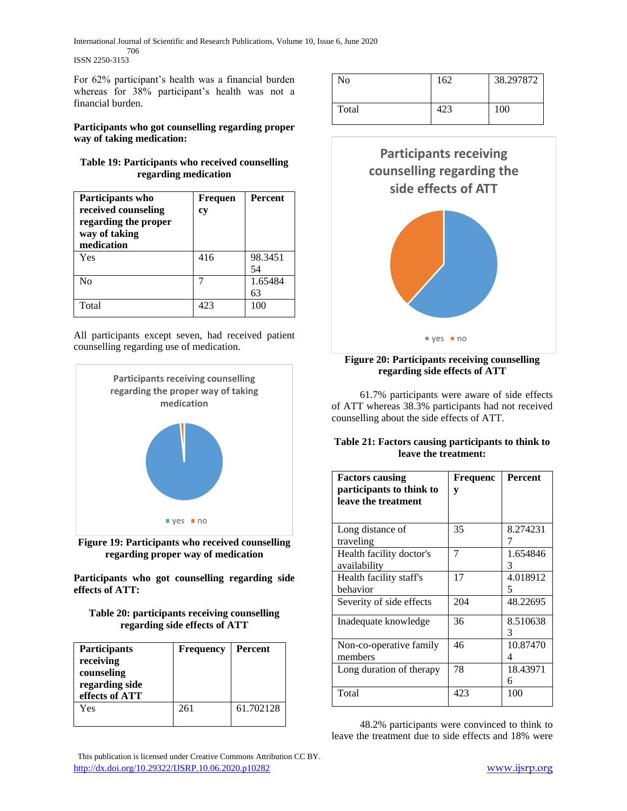For 62% participant's health was a financial burden whereas for 38% participant's health was not a financial burden.

## **Participants who got counselling regarding proper way of taking medication:**

## **Table 19: Participants who received counselling regarding medication**

| Participants who<br>received counseling<br>regarding the proper<br>way of taking<br>medication | <b>Frequen</b><br>cy | <b>Percent</b> |
|------------------------------------------------------------------------------------------------|----------------------|----------------|
| Yes                                                                                            | 416                  | 98.3451<br>54  |
| N <sub>0</sub>                                                                                 |                      | 1.65484<br>63  |
| Total                                                                                          | 423                  | 100            |

All participants except seven, had received patient counselling regarding use of medication.





**Participants who got counselling regarding side effects of ATT:**

## **Table 20: participants receiving counselling regarding side effects of ATT**

| <b>Participants</b><br>receiving<br>counseling<br>regarding side<br>effects of ATT | <b>Frequency</b> | <b>Percent</b> |
|------------------------------------------------------------------------------------|------------------|----------------|
| Yes                                                                                | 261              | 61.702128      |

| No    | 162 | 38.297872 |
|-------|-----|-----------|
| Total | 423 | 100       |



## **Figure 20: Participants receiving counselling regarding side effects of ATT**

 61.7% participants were aware of side effects of ATT whereas 38.3% participants had not received counselling about the side effects of ATT.

## **Table 21: Factors causing participants to think to leave the treatment:**

| <b>Factors causing</b><br>participants to think to<br>leave the treatment | <b>Frequenc</b><br>y | <b>Percent</b> |
|---------------------------------------------------------------------------|----------------------|----------------|
| Long distance of                                                          | 35                   | 8.274231       |
| traveling                                                                 |                      |                |
| Health facility doctor's<br>availability                                  | 7                    | 1.654846<br>3  |
| Health facility staff's<br>behavior                                       | 17                   | 4.018912<br>5  |
| Severity of side effects                                                  | 204                  | 48.22695       |
| Inadequate knowledge                                                      | 36                   | 8.510638<br>3  |
| Non-co-operative family<br>members                                        | 46                   | 10.87470       |
| Long duration of therapy                                                  | 78                   | 18.43971<br>6  |
| Total                                                                     | 423                  | 100            |

 48.2% participants were convinced to think to leave the treatment due to side effects and 18% were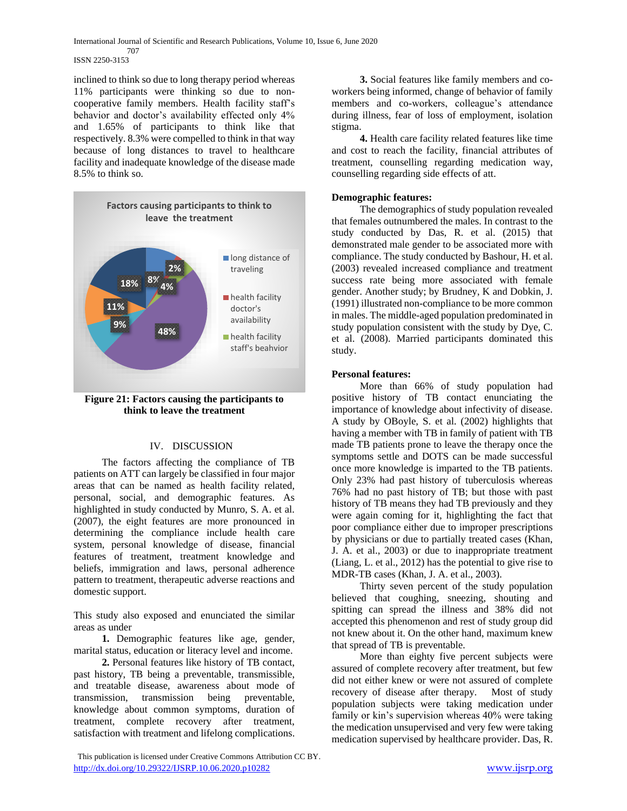inclined to think so due to long therapy period whereas 11% participants were thinking so due to noncooperative family members. Health facility staff's behavior and doctor's availability effected only 4% and 1.65% of participants to think like that respectively. 8.3% were compelled to think in that way because of long distances to travel to healthcare facility and inadequate knowledge of the disease made 8.5% to think so.



**Figure 21: Factors causing the participants to think to leave the treatment**

## IV. DISCUSSION

 The factors affecting the compliance of TB patients on ATT can largely be classified in four major areas that can be named as health facility related, personal, social, and demographic features. As highlighted in study conducted by Munro, S. A. et al. (2007), the eight features are more pronounced in determining the compliance include health care system, personal knowledge of disease, financial features of treatment, treatment knowledge and beliefs, immigration and laws, personal adherence pattern to treatment, therapeutic adverse reactions and domestic support.

This study also exposed and enunciated the similar areas as under

 **1.** Demographic features like age, gender, marital status, education or literacy level and income.

 **2.** Personal features like history of TB contact, past history, TB being a preventable, transmissible, and treatable disease, awareness about mode of transmission, transmission being preventable, knowledge about common symptoms, duration of treatment, complete recovery after treatment, satisfaction with treatment and lifelong complications.

 **3.** Social features like family members and coworkers being informed, change of behavior of family members and co-workers, colleague's attendance during illness, fear of loss of employment, isolation stigma.

 **4.** Health care facility related features like time and cost to reach the facility, financial attributes of treatment, counselling regarding medication way, counselling regarding side effects of att.

## **Demographic features:**

 The demographics of study population revealed that females outnumbered the males. In contrast to the study conducted by Das, R. et al. (2015) that demonstrated male gender to be associated more with compliance. The study conducted by Bashour, H. et al. (2003) revealed increased compliance and treatment success rate being more associated with female gender. Another study; by Brudney, K and Dobkin, J. (1991) illustrated non-compliance to be more common in males. The middle-aged population predominated in study population consistent with the study by Dye, C. et al. (2008). Married participants dominated this study.

## **Personal features:**

 More than 66% of study population had positive history of TB contact enunciating the importance of knowledge about infectivity of disease. A study by OBoyle, S. et al. (2002) highlights that having a member with TB in family of patient with TB made TB patients prone to leave the therapy once the symptoms settle and DOTS can be made successful once more knowledge is imparted to the TB patients. Only 23% had past history of tuberculosis whereas 76% had no past history of TB; but those with past history of TB means they had TB previously and they were again coming for it, highlighting the fact that poor compliance either due to improper prescriptions by physicians or due to partially treated cases (Khan, J. A. et al., 2003) or due to inappropriate treatment (Liang, L. et al., 2012) has the potential to give rise to MDR-TB cases (Khan, J. A. et al., 2003).

 Thirty seven percent of the study population believed that coughing, sneezing, shouting and spitting can spread the illness and 38% did not accepted this phenomenon and rest of study group did not knew about it. On the other hand, maximum knew that spread of TB is preventable.

 More than eighty five percent subjects were assured of complete recovery after treatment, but few did not either knew or were not assured of complete recovery of disease after therapy. Most of study population subjects were taking medication under family or kin's supervision whereas 40% were taking the medication unsupervised and very few were taking medication supervised by healthcare provider. Das, R.

This publication is licensed under Creative Commons Attribution CC BY. <http://dx.doi.org/10.29322/IJSRP.10.06.2020.p10282> [www.ijsrp.org](http://ijsrp.org/)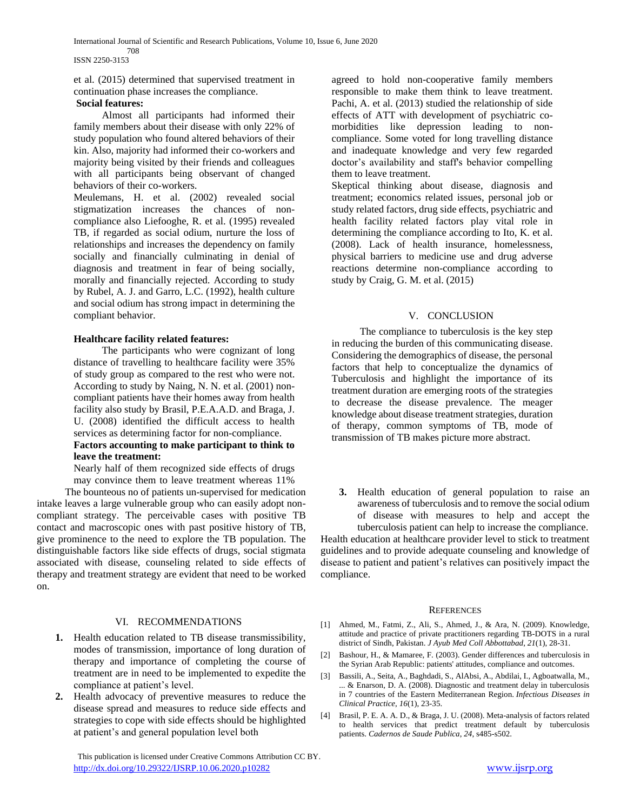#### 708 ISSN 2250-3153

et al. (2015) determined that supervised treatment in continuation phase increases the compliance.

#### **Social features:**

 Almost all participants had informed their family members about their disease with only 22% of study population who found altered behaviors of their kin. Also, majority had informed their co-workers and majority being visited by their friends and colleagues with all participants being observant of changed behaviors of their co-workers.

Meulemans, H. et al. (2002) revealed social stigmatization increases the chances of noncompliance also Liefooghe, R. et al. (1995) revealed TB, if regarded as social odium, nurture the loss of relationships and increases the dependency on family socially and financially culminating in denial of diagnosis and treatment in fear of being socially, morally and financially rejected. According to study by Rubel, A. J. and Garro, L.C. (1992), health culture and social odium has strong impact in determining the compliant behavior.

#### **Healthcare facility related features:**

 The participants who were cognizant of long distance of travelling to healthcare facility were 35% of study group as compared to the rest who were not. According to study by Naing, N. N. et al. (2001) noncompliant patients have their homes away from health facility also study by Brasil, P.E.A.A.D. and Braga, J. U. (2008) identified the difficult access to health services as determining factor for non-compliance.

## **Factors accounting to make participant to think to leave the treatment:**

Nearly half of them recognized side effects of drugs may convince them to leave treatment whereas 11%

 The bounteous no of patients un-supervised for medication intake leaves a large vulnerable group who can easily adopt noncompliant strategy. The perceivable cases with positive TB contact and macroscopic ones with past positive history of TB, give prominence to the need to explore the TB population. The distinguishable factors like side effects of drugs, social stigmata associated with disease, counseling related to side effects of therapy and treatment strategy are evident that need to be worked on.

#### VI. RECOMMENDATIONS

- **1.** Health education related to TB disease transmissibility, modes of transmission, importance of long duration of therapy and importance of completing the course of treatment are in need to be implemented to expedite the compliance at patient's level.
- **2.** Health advocacy of preventive measures to reduce the disease spread and measures to reduce side effects and strategies to cope with side effects should be highlighted at patient's and general population level both

 This publication is licensed under Creative Commons Attribution CC BY. <http://dx.doi.org/10.29322/IJSRP.10.06.2020.p10282> [www.ijsrp.org](http://ijsrp.org/)

agreed to hold non-cooperative family members responsible to make them think to leave treatment. Pachi, A. et al. (2013) studied the relationship of side effects of ATT with development of psychiatric comorbidities like depression leading to noncompliance. Some voted for long travelling distance and inadequate knowledge and very few regarded doctor's availability and staff's behavior compelling them to leave treatment.

Skeptical thinking about disease, diagnosis and treatment; economics related issues, personal job or study related factors, drug side effects, psychiatric and health facility related factors play vital role in determining the compliance according to Ito, K. et al. (2008). Lack of health insurance, homelessness, physical barriers to medicine use and drug adverse reactions determine non-compliance according to study by Craig, G. M. et al. (2015)

#### V. CONCLUSION

 The compliance to tuberculosis is the key step in reducing the burden of this communicating disease. Considering the demographics of disease, the personal factors that help to conceptualize the dynamics of Tuberculosis and highlight the importance of its treatment duration are emerging roots of the strategies to decrease the disease prevalence. The meager knowledge about disease treatment strategies, duration of therapy, common symptoms of TB, mode of transmission of TB makes picture more abstract.

**3.** Health education of general population to raise an awareness of tuberculosis and to remove the social odium of disease with measures to help and accept the

tuberculosis patient can help to increase the compliance. Health education at healthcare provider level to stick to treatment guidelines and to provide adequate counseling and knowledge of disease to patient and patient's relatives can positively impact the compliance.

#### **REFERENCES**

- [1] Ahmed, M., Fatmi, Z., Ali, S., Ahmed, J., & Ara, N. (2009). Knowledge, attitude and practice of private practitioners regarding TB-DOTS in a rural district of Sindh, Pakistan. *J Ayub Med Coll Abbottabad*, *21*(1), 28-31.
- [2] Bashour, H., & Mamaree, F. (2003). Gender differences and tuberculosis in the Syrian Arab Republic: patients' attitudes, compliance and outcomes.
- [3] Bassili, A., Seita, A., Baghdadi, S., AlAbsi, A., Abdilai, I., Agboatwalla, M., ... & Enarson, D. A. (2008). Diagnostic and treatment delay in tuberculosis in 7 countries of the Eastern Mediterranean Region. *Infectious Diseases in Clinical Practice*, *16*(1), 23-35.
- [4] Brasil, P. E. A. A. D., & Braga, J. U. (2008). Meta-analysis of factors related to health services that predict treatment default by tuberculosis patients. *Cadernos de Saude Publica*, *24*, s485-s502.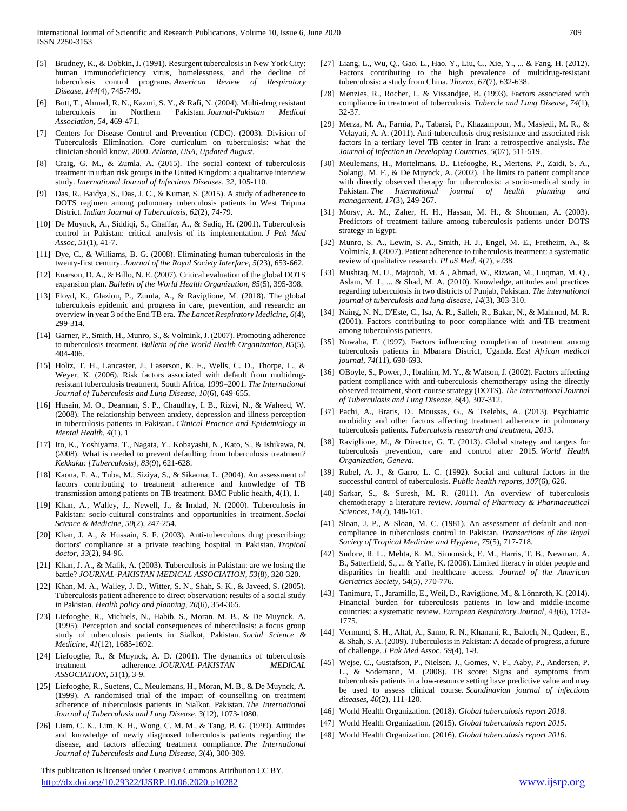- [5] Brudney, K., & Dobkin, J. (1991). Resurgent tuberculosis in New York City: human immunodeficiency virus, homelessness, and the decline of tuberculosis control programs. *American Review of Respiratory Disease*, *144*(4), 745-749.
- [6] Butt, T., Ahmad, R. N., Kazmi, S. Y., & Rafi, N. (2004). Multi-drug resistant tuberculosis in Northern Pakistan. *Journal-Pakistan Medical Association*, *54*, 469-471.
- [7] Centers for Disease Control and Prevention (CDC). (2003). Division of Tuberculosis Elimination. Core curriculum on tuberculosis: what the clinician should know, 2000. *Atlanta, USA, Updated August*.
- [8] Craig, G. M., & Zumla, A. (2015). The social context of tuberculosis treatment in urban risk groups in the United Kingdom: a qualitative interview study. *International Journal of Infectious Diseases*, *32*, 105-110.
- [9] Das, R., Baidya, S., Das, J. C., & Kumar, S. (2015). A study of adherence to DOTS regimen among pulmonary tuberculosis patients in West Tripura District. *Indian Journal of Tuberculosis*, *62*(2), 74-79.
- [10] De Muynck, A., Siddiqi, S., Ghaffar, A., & Sadiq, H. (2001). Tuberculosis control in Pakistan: critical analysis of its implementation. *J Pak Med Assoc*, *51*(1), 41-7.
- [11] Dye, C., & Williams, B. G. (2008). Eliminating human tuberculosis in the twenty-first century. *Journal of the Royal Society Interface*, *5*(23), 653-662.
- [12] Enarson, D. A., & Billo, N. E. (2007). Critical evaluation of the global DOTS expansion plan. *Bulletin of the World Health Organization*, *85*(5), 395-398.
- [13] Floyd, K., Glaziou, P., Zumla, A., & Raviglione, M. (2018). The global tuberculosis epidemic and progress in care, prevention, and research: an overview in year 3 of the End TB era. *The Lancet Respiratory Medicine*, *6*(4), 299-314.
- [14] Garner, P., Smith, H., Munro, S., & Volmink, J. (2007). Promoting adherence to tuberculosis treatment. *Bulletin of the World Health Organization*, *85*(5), 404-406.
- [15] Holtz, T. H., Lancaster, J., Laserson, K. F., Wells, C. D., Thorpe, L., & Weyer, K. (2006). Risk factors associated with default from multidrugresistant tuberculosis treatment, South Africa, 1999–2001. *The International Journal of Tuberculosis and Lung Disease*, *10*(6), 649-655.
- [16] Husain, M. O., Dearman, S. P., Chaudhry, I. B., Rizvi, N., & Waheed, W. (2008). The relationship between anxiety, depression and illness perception in tuberculosis patients in Pakistan. *Clinical Practice and Epidemiology in Mental Health*, *4*(1), 1
- [17] Ito, K., Yoshiyama, T., Nagata, Y., Kobayashi, N., Kato, S., & Ishikawa, N. (2008). What is needed to prevent defaulting from tuberculosis treatment? *Kekkaku: [Tuberculosis]*, *83*(9), 621-628.
- [18] Kaona, F. A., Tuba, M., Siziya, S., & Sikaona, L. (2004). An assessment of factors contributing to treatment adherence and knowledge of TB transmission among patients on TB treatment. BMC Public health, 4(1), 1.
- [19] Khan, A., Walley, J., Newell, J., & Imdad, N. (2000). Tuberculosis in Pakistan: socio-cultural constraints and opportunities in treatment. *Social Science & Medicine*, *50*(2), 247-254.
- [20] Khan, J. A., & Hussain, S. F. (2003). Anti-tuberculous drug prescribing: doctors' compliance at a private teaching hospital in Pakistan. *Tropical doctor*, *33*(2), 94-96.
- [21] Khan, J. A., & Malik, A. (2003). Tuberculosis in Pakistan: are we losing the battle? *JOURNAL-PAKISTAN MEDICAL ASSOCIATION*, *53*(8), 320-320.
- [22] Khan, M. A., Walley, J. D., Witter, S. N., Shah, S. K., & Javeed, S. (2005). Tuberculosis patient adherence to direct observation: results of a social study in Pakistan. *Health policy and planning*, *20*(6), 354-365.
- [23] Liefooghe, R., Michiels, N., Habib, S., Moran, M. B., & De Muynck, A. (1995). Perception and social consequences of tuberculosis: a focus group study of tuberculosis patients in Sialkot, Pakistan. *Social Science & Medicine*, *41*(12), 1685-1692.
- [24] Liefooghe, R., & Muynck, A. D. (2001). The dynamics of tuberculosis treatment adherence. *JOURNAL-PAKISTAN MEDICAL ASSOCIATION*, *51*(1), 3-9.
- [25] Liefooghe, R., Suetens, C., Meulemans, H., Moran, M. B., & De Muynck, A. (1999). A randomised trial of the impact of counselling on treatment adherence of tuberculosis patients in Sialkot, Pakistan. *The International Journal of Tuberculosis and Lung Disease*, *3*(12), 1073-1080.
- [26] Liam, C. K., Lim, K. H., Wong, C. M. M., & Tang, B. G. (1999). Attitudes and knowledge of newly diagnosed tuberculosis patients regarding the disease, and factors affecting treatment compliance. *The International Journal of Tuberculosis and Lung Disease*, *3*(4), 300-309.

 This publication is licensed under Creative Commons Attribution CC BY. <http://dx.doi.org/10.29322/IJSRP.10.06.2020.p10282> [www.ijsrp.org](http://ijsrp.org/)

- [27] Liang, L., Wu, Q., Gao, L., Hao, Y., Liu, C., Xie, Y., ... & Fang, H. (2012). Factors contributing to the high prevalence of multidrug-resistant tuberculosis: a study from China. *Thorax*, *67*(7), 632-638.
- [28] Menzies, R., Rocher, I., & Vissandjee, B. (1993). Factors associated with compliance in treatment of tuberculosis. *Tubercle and Lung Disease*, *74*(1), 32-37.
- [29] Merza, M. A., Farnia, P., Tabarsi, P., Khazampour, M., Masjedi, M. R., & Velayati, A. A. (2011). Anti-tuberculosis drug resistance and associated risk factors in a tertiary level TB center in Iran: a retrospective analysis. *The Journal of Infection in Developing Countries*, *5*(07), 511-519.
- [30] Meulemans, H., Mortelmans, D., Liefooghe, R., Mertens, P., Zaidi, S. A., Solangi, M. F., & De Muynck, A. (2002). The limits to patient compliance with directly observed therapy for tuberculosis: a socio-medical study in Pakistan. *The International journal of health planning and management*, *17*(3), 249-267.
- [31] Morsy, A. M., Zaher, H. H., Hassan, M. H., & Shouman, A. (2003). Predictors of treatment failure among tuberculosis patients under DOTS strategy in Egypt.
- [32] Munro, S. A., Lewin, S. A., Smith, H. J., Engel, M. E., Fretheim, A., & Volmink, J. (2007). Patient adherence to tuberculosis treatment: a systematic review of qualitative research. *PLoS Med*, *4*(7), e238.
- [33] Mushtaq, M. U., Majrooh, M. A., Ahmad, W., Rizwan, M., Luqman, M. Q., Aslam, M. J., ... & Shad, M. A. (2010). Knowledge, attitudes and practices regarding tuberculosis in two districts of Punjab, Pakistan. *The international journal of tuberculosis and lung disease*, *14*(3), 303-310.
- [34] Naing, N. N., D'Este, C., Isa, A. R., Salleh, R., Bakar, N., & Mahmod, M. R. (2001). Factors contributing to poor compliance with anti-TB treatment among tuberculosis patients.
- [35] Nuwaha, F. (1997). Factors influencing completion of treatment among tuberculosis patients in Mbarara District, Uganda. *East African medical journal*, *74*(11), 690-693.
- [36] OBoyle, S., Power, J., Ibrahim, M. Y., & Watson, J. (2002). Factors affecting patient compliance with anti-tuberculosis chemotherapy using the directly observed treatment, short-course strategy (DOTS). *The International Journal of Tuberculosis and Lung Disease*, *6*(4), 307-312.
- [37] Pachi, A., Bratis, D., Moussas, G., & Tselebis, A. (2013). Psychiatric morbidity and other factors affecting treatment adherence in pulmonary tuberculosis patients. *Tuberculosis research and treatment*, *2013*.
- [38] Raviglione, M., & Director, G. T. (2013). Global strategy and targets for tuberculosis prevention, care and control after 2015. *World Health Organization, Geneva*.
- [39] Rubel, A. J., & Garro, L. C. (1992). Social and cultural factors in the successful control of tuberculosis. *Public health reports*, *107*(6), 626.
- [40] Sarkar, S., & Suresh, M. R. (2011). An overview of tuberculosis chemotherapy–a literature review. *Journal of Pharmacy & Pharmaceutical Sciences*, *14*(2), 148-161.
- [41] Sloan, J. P., & Sloan, M. C. (1981). An assessment of default and noncompliance in tuberculosis control in Pakistan. *Transactions of the Royal Society of Tropical Medicine and Hygiene*, *75*(5), 717-718.
- [42] Sudore, R. L., Mehta, K. M., Simonsick, E. M., Harris, T. B., Newman, A. B., Satterfield, S., ... & Yaffe, K. (2006). Limited literacy in older people and disparities in health and healthcare access. *Journal of the American Geriatrics Society*, 54(5), 770-776.
- [43] Tanimura, T., Jaramillo, E., Weil, D., Raviglione, M., & Lönnroth, K. (2014). Financial burden for tuberculosis patients in low-and middle-income countries: a systematic review. *European Respiratory Journal*, 43(6), 1763- 1775.
- [44] Vermund, S. H., Altaf, A., Samo, R. N., Khanani, R., Baloch, N., Qadeer, E., & Shah, S. A. (2009). Tuberculosis in Pakistan: A decade of progress, a future of challenge. *J Pak Med Assoc*, *59*(4), 1-8.
- [45] Wejse, C., Gustafson, P., Nielsen, J., Gomes, V. F., Aaby, P., Andersen, P. L., & Sodemann, M. (2008). TB score: Signs and symptoms from tuberculosis patients in a low-resource setting have predictive value and may be used to assess clinical course. *Scandinavian journal of infectious diseases*, *40*(2), 111-120.
- [46] World Health Organization. (2018). *Global tuberculosis report 2018.*
- [47] World Health Organization. (2015). *Global tuberculosis report 2015*.
- [48] World Health Organization. (2016). *Global tuberculosis report 2016*.